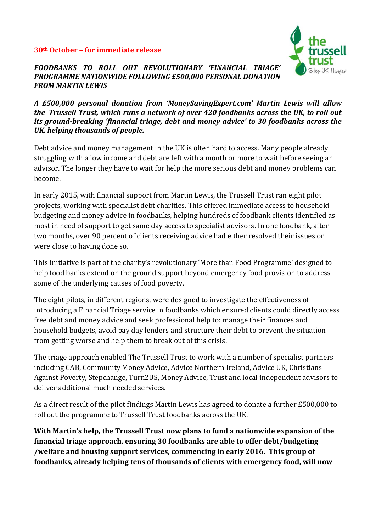#### **30th October – for immediate release**



#### *FOODBANKS TO ROLL OUT REVOLUTIONARY 'FINANCIAL TRIAGE' PROGRAMME NATIONWIDE FOLLOWING £500,000 PERSONAL DONATION FROM MARTIN LEWIS*

*A £500,000 personal donation from 'MoneySavingExpert.com' Martin Lewis will allow the Trussell Trust, which runs a network of over 420 foodbanks across the UK, to roll out its ground-breaking 'financial triage, debt and money advice' to 30 foodbanks across the UK, helping thousands of people.*

Debt advice and money management in the UK is often hard to access. Many people already struggling with a low income and debt are left with a month or more to wait before seeing an advisor. The longer they have to wait for help the more serious debt and money problems can become.

In early 2015, with financial support from Martin Lewis, the Trussell Trust ran eight pilot projects, working with specialist debt charities. This offered immediate access to household budgeting and money advice in foodbanks, helping hundreds of foodbank clients identified as most in need of support to get same day access to specialist advisors. In one foodbank, after two months, over 90 percent of clients receiving advice had either resolved their issues or were close to having done so.

This initiative is part of the charity's revolutionary 'More than Food Programme' designed to help food banks extend on the ground support beyond emergency food provision to address some of the underlying causes of food poverty.

The eight pilots, in different regions, were designed to investigate the effectiveness of introducing a Financial Triage service in foodbanks which ensured clients could directly access free debt and money advice and seek professional help to: manage their finances and household budgets, avoid pay day lenders and structure their debt to prevent the situation from getting worse and help them to break out of this crisis.

The triage approach enabled The Trussell Trust to work with a number of specialist partners including CAB, Community Money Advice, Advice Northern Ireland, Advice UK, Christians Against Poverty, Stepchange, Turn2US, Money Advice, Trust and local independent advisors to deliver additional much needed services.

As a direct result of the pilot findings Martin Lewis has agreed to donate a further £500,000 to roll out the programme to Trussell Trust foodbanks across the UK.

**With Martin's help, the Trussell Trust now plans to fund a nationwide expansion of the financial triage approach, ensuring 30 foodbanks are able to offer debt/budgeting /welfare and housing support services, commencing in early 2016. This group of foodbanks, already helping tens of thousands of clients with emergency food, will now**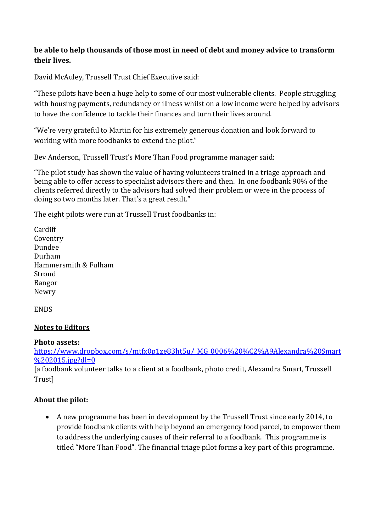## **be able to help thousands of those most in need of debt and money advice to transform their lives.**

David McAuley, Trussell Trust Chief Executive said:

"These pilots have been a huge help to some of our most vulnerable clients. People struggling with housing payments, redundancy or illness whilst on a low income were helped by advisors to have the confidence to tackle their finances and turn their lives around.

"We're very grateful to Martin for his extremely generous donation and look forward to working with more foodbanks to extend the pilot."

Bev Anderson, Trussell Trust's More Than Food programme manager said:

"The pilot study has shown the value of having volunteers trained in a triage approach and being able to offer access to specialist advisors there and then. In one foodbank 90% of the clients referred directly to the advisors had solved their problem or were in the process of doing so two months later. That's a great result."

The eight pilots were run at Trussell Trust foodbanks in:

Cardiff Coventry Dundee Durham Hammersmith & Fulham Stroud Bangor Newry

ENDS

### **Notes to Editors**

### **Photo assets:**

[https://www.dropbox.com/s/mtfx0p1ze83ht5u/\\_MG\\_0006%20%C2%A9Alexandra%20Smart](https://www.dropbox.com/s/mtfx0p1ze83ht5u/_MG_0006%20%C2%A9Alexandra%20Smart%202015.jpg?dl=0)  $%202015$ .jpg?dl=0

[a foodbank volunteer talks to a client at a foodbank, photo credit, Alexandra Smart, Trussell **Trust**]

# **About the pilot:**

 A new programme has been in development by the Trussell Trust since early 2014, to provide foodbank clients with help beyond an emergency food parcel, to empower them to address the underlying causes of their referral to a foodbank. This programme is titled "More Than Food". The financial triage pilot forms a key part of this programme.